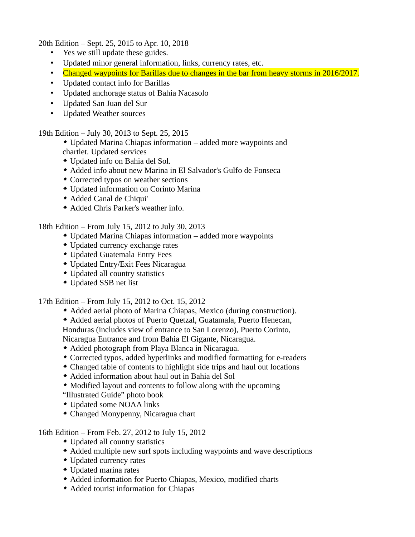20th Edition – Sept. 25, 2015 to Apr. 10, 2018

- Yes we still update these guides.
- Updated minor general information, links, currency rates, etc.
- Changed waypoints for Barillas due to changes in the bar from heavy storms in 2016/2017.
- Updated contact info for Barillas
- Updated anchorage status of Bahia Nacasolo
- Updated San Juan del Sur
- Updated Weather sources

19th Edition – July 30, 2013 to Sept. 25, 2015

- Updated Marina Chiapas information added more waypoints and chartlet. Updated services
- Updated info on Bahia del Sol.
- Added info about new Marina in El Salvador's Gulfo de Fonseca
- Corrected typos on weather sections
- Updated information on Corinto Marina
- Added Canal de Chiqui'
- Added Chris Parker's weather info.

18th Edition – From July 15, 2012 to July 30, 2013

- Updated Marina Chiapas information added more waypoints
- Updated currency exchange rates
- Updated Guatemala Entry Fees
- Updated Entry/Exit Fees Nicaragua
- Updated all country statistics
- Updated SSB net list

17th Edition – From July 15, 2012 to Oct. 15, 2012

- Added aerial photo of Marina Chiapas, Mexico (during construction).
- Added aerial photos of Puerto Quetzal, Guatamala, Puerto Henecan,

Honduras (includes view of entrance to San Lorenzo), Puerto Corinto,

Nicaragua Entrance and from Bahia El Gigante, Nicaragua.

- Added photograph from Playa Blanca in Nicaragua.
- Corrected typos, added hyperlinks and modified formatting for e-readers
- Changed table of contents to highlight side trips and haul out locations
- Added information about haul out in Bahia del Sol
- Modified layout and contents to follow along with the upcoming "Illustrated Guide" photo book
- Updated some NOAA links
- Changed Monypenny, Nicaragua chart

16th Edition – From Feb. 27, 2012 to July 15, 2012

- Updated all country statistics
- Added multiple new surf spots including waypoints and wave descriptions
- Updated currency rates
- Updated marina rates
- Added information for Puerto Chiapas, Mexico, modified charts
- Added tourist information for Chiapas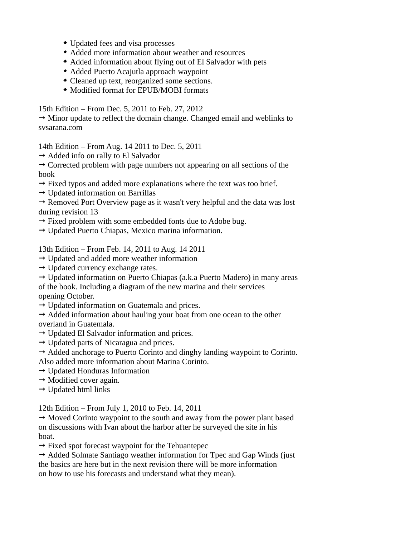- Updated fees and visa processes
- Added more information about weather and resources
- Added information about flying out of El Salvador with pets
- Added Puerto Acajutla approach waypoint
- Cleaned up text, reorganized some sections.
- Modified format for EPUB/MOBI formats

15th Edition – From Dec. 5, 2011 to Feb. 27, 2012

 $\rightarrow$  Minor update to reflect the domain change. Changed email and weblinks to svsarana.com

14th Edition – From Aug. 14 2011 to Dec. 5, 2011

 $\rightarrow$  Added info on rally to El Salvador

 $\rightarrow$  Corrected problem with page numbers not appearing on all sections of the book

- $\rightarrow$  Fixed typos and added more explanations where the text was too brief.
- $\rightarrow$  Updated information on Barrillas

 $\rightarrow$  Removed Port Overview page as it wasn't very helpful and the data was lost during revision 13

- $\rightarrow$  Fixed problem with some embedded fonts due to Adobe bug.
- $\rightarrow$  Updated Puerto Chiapas, Mexico marina information.

13th Edition – From Feb. 14, 2011 to Aug. 14 2011

- $\rightarrow$  Updated and added more weather information
- $\rightarrow$  Updated currency exchange rates.
- $\rightarrow$  Updated information on Puerto Chiapas (a.k.a Puerto Madero) in many areas of the book. Including a diagram of the new marina and their services

opening October.

 $\rightarrow$  Updated information on Guatemala and prices.

 $\rightarrow$  Added information about hauling your boat from one ocean to the other overland in Guatemala.

- $\rightarrow$  Updated El Salvador information and prices.
- $\rightarrow$  Updated parts of Nicaragua and prices.
- $\rightarrow$  Added anchorage to Puerto Corinto and dinghy landing waypoint to Corinto. Also added more information about Marina Corinto.
- $\rightarrow$  Updated Honduras Information
- $\rightarrow$  Modified cover again.
- $\rightarrow$  Updated html links

12th Edition – From July 1, 2010 to Feb. 14, 2011

 $\rightarrow$  Moved Corinto waypoint to the south and away from the power plant based on discussions with Ivan about the harbor after he surveyed the site in his boat.

 $\rightarrow$  Fixed spot forecast waypoint for the Tehuantepec

 $\rightarrow$  Added Solmate Santiago weather information for Tpec and Gap Winds (just the basics are here but in the next revision there will be more information on how to use his forecasts and understand what they mean).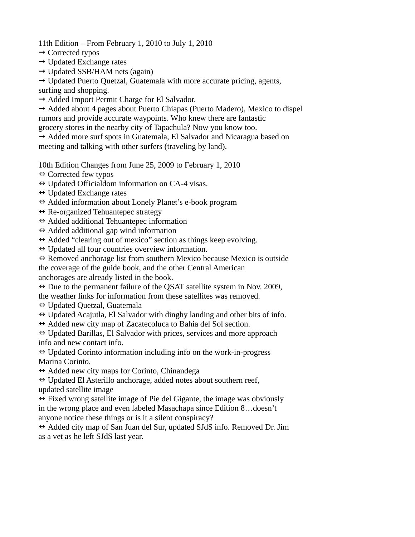11th Edition – From February 1, 2010 to July 1, 2010

- $\rightarrow$  Corrected typos
- $\rightarrow$  Updated Exchange rates
- $\rightarrow$  Updated SSB/HAM nets (again)

 $\rightarrow$  Updated Puerto Quetzal, Guatemala with more accurate pricing, agents,

surfing and shopping.

 $\rightarrow$  Added Import Permit Charge for El Salvador.

 $\rightarrow$  Added about 4 pages about Puerto Chiapas (Puerto Madero), Mexico to dispel rumors and provide accurate waypoints. Who knew there are fantastic grocery stores in the nearby city of Tapachula? Now you know too.

 $\rightarrow$  Added more surf spots in Guatemala, El Salvador and Nicaragua based on meeting and talking with other surfers (traveling by land).

10th Edition Changes from June 25, 2009 to February 1, 2010

- $\leftrightarrow$  Corrected few typos
- $\leftrightarrow$  Updated Officialdom information on CA-4 visas.
- $\leftrightarrow$  Updated Exchange rates
- $\leftrightarrow$  Added information about Lonely Planet's e-book program
- $\leftrightarrow$  Re-organized Tehuantepec strategy
- $\leftrightarrow$  Added additional Tehuantepec information
- $\leftrightarrow$  Added additional gap wind information

 $\leftrightarrow$  Added "clearing out of mexico" section as things keep evolving.

 $\leftrightarrow$  Updated all four countries overview information.

 $\leftrightarrow$  Removed anchorage list from southern Mexico because Mexico is outside the coverage of the guide book, and the other Central American anchorages are already listed in the book.

 $\leftrightarrow$  Due to the permanent failure of the QSAT satellite system in Nov. 2009, the weather links for information from these satellites was removed.

- Updated Quetzal, Guatemala
- $\leftrightarrow$  Updated Acajutla, El Salvador with dinghy landing and other bits of info.
- $\leftrightarrow$  Added new city map of Zacatecoluca to Bahia del Sol section.

 $\leftrightarrow$  Updated Barillas, El Salvador with prices, services and more approach info and new contact info.

 $\leftrightarrow$  Updated Corinto information including info on the work-in-progress Marina Corinto.

 $\leftrightarrow$  Added new city maps for Corinto, Chinandega

 $\leftrightarrow$  Updated El Asterillo anchorage, added notes about southern reef, updated satellite image

 $\leftrightarrow$  Fixed wrong satellite image of Pie del Gigante, the image was obviously in the wrong place and even labeled Masachapa since Edition 8…doesn't anyone notice these things or is it a silent conspiracy?

 $\leftrightarrow$  Added city map of San Juan del Sur, updated SJdS info. Removed Dr. Jim as a vet as he left SJdS last year.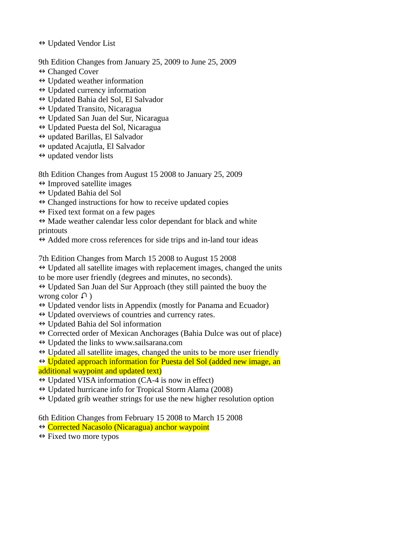- $\leftrightarrow$  Updated Vendor List
- 9th Edition Changes from January 25, 2009 to June 25, 2009
- $\leftrightarrow$  Changed Cover
- $\leftrightarrow$  Updated weather information
- $\leftrightarrow$  Updated currency information
- Updated Bahia del Sol, El Salvador
- $\leftrightarrow$  Updated Transito, Nicaragua
- $\leftrightarrow$  Updated San Juan del Sur, Nicaragua
- $\leftrightarrow$  Updated Puesta del Sol, Nicaragua
- $\leftrightarrow$  updated Barillas, El Salvador
- updated Acajutla, El Salvador
- $\leftrightarrow$  updated vendor lists

8th Edition Changes from August 15 2008 to January 25, 2009

- $\leftrightarrow$  Improved satellite images
- Updated Bahia del Sol
- $\leftrightarrow$  Changed instructions for how to receive updated copies
- $\leftrightarrow$  Fixed text format on a few pages

 $\leftrightarrow$  Made weather calendar less color dependant for black and white printouts

 $\leftrightarrow$  Added more cross references for side trips and in-land tour ideas

7th Edition Changes from March 15 2008 to August 15 2008

- $\leftrightarrow$  Updated all satellite images with replacement images, changed the units
- to be more user friendly (degrees and minutes, no seconds).

 $\leftrightarrow$  Updated San Juan del Sur Approach (they still painted the buoy the wrong color  $\Omega$ )

- $\leftrightarrow$  Updated vendor lists in Appendix (mostly for Panama and Ecuador)
- $\leftrightarrow$  Updated overviews of countries and currency rates.
- Updated Bahia del Sol information
- $\leftrightarrow$  Corrected order of Mexican Anchorages (Bahia Dulce was out of place)
- $\leftrightarrow$  Updated the links to www.sailsarana.com
- $\leftrightarrow$  Updated all satellite images, changed the units to be more user friendly

 Updated approach information for Puesta del Sol (added new image, an additional waypoint and updated text)

- $\leftrightarrow$  Updated VISA information (CA-4 is now in effect)
- $\leftrightarrow$  Updated hurricane info for Tropical Storm Alama (2008)
- $\leftrightarrow$  Updated grib weather strings for use the new higher resolution option

6th Edition Changes from February 15 2008 to March 15 2008

- Corrected Nacasolo (Nicaragua) anchor waypoint
- $\leftrightarrow$  Fixed two more typos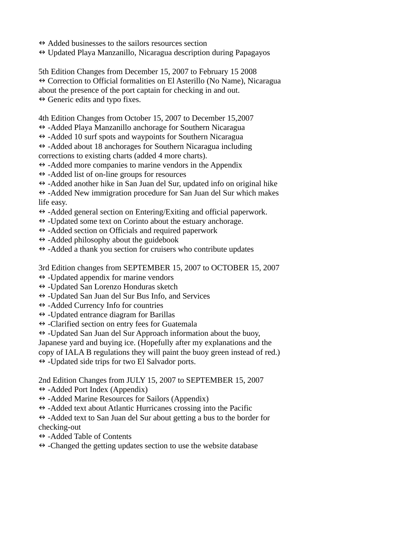- $\leftrightarrow$  Added businesses to the sailors resources section
- $\leftrightarrow$  Updated Playa Manzanillo, Nicaragua description during Papagayos

5th Edition Changes from December 15, 2007 to February 15 2008  $\leftrightarrow$  Correction to Official formalities on El Asterillo (No Name), Nicaragua about the presence of the port captain for checking in and out.  $\leftrightarrow$  Generic edits and typo fixes.

4th Edition Changes from October 15, 2007 to December 15,2007

- $\leftrightarrow$  -Added Playa Manzanillo anchorage for Southern Nicaragua
- $\leftrightarrow$  -Added 10 surf spots and waypoints for Southern Nicaragua

 $\leftrightarrow$  -Added about 18 anchorages for Southern Nicaragua including corrections to existing charts (added 4 more charts).

 $\leftrightarrow$  -Added more companies to marine vendors in the Appendix

- $\leftrightarrow$  -Added list of on-line groups for resources
- $\leftrightarrow$  -Added another hike in San Juan del Sur, updated info on original hike

 $\leftrightarrow$  -Added New immigration procedure for San Juan del Sur which makes life easy.

- $\leftrightarrow$  -Added general section on Entering/Exiting and official paperwork.
- $\leftrightarrow$  -Updated some text on Corinto about the estuary anchorage.
- $\leftrightarrow$  -Added section on Officials and required paperwork
- $\leftrightarrow$  -Added philosophy about the guidebook
- $\leftrightarrow$  -Added a thank you section for cruisers who contribute updates

3rd Edition changes from SEPTEMBER 15, 2007 to OCTOBER 15, 2007

- $\leftrightarrow$  -Updated appendix for marine vendors
- $\leftrightarrow$  -Updated San Lorenzo Honduras sketch
- $\leftrightarrow$  -Updated San Juan del Sur Bus Info, and Services
- $\leftrightarrow$  -Added Currency Info for countries
- $\leftrightarrow$  -Updated entrance diagram for Barillas
- $\leftrightarrow$  -Clarified section on entry fees for Guatemala

 $\leftrightarrow$  -Updated San Juan del Sur Approach information about the buoy,

Japanese yard and buying ice. (Hopefully after my explanations and the

copy of IALA B regulations they will paint the buoy green instead of red.)

 $\leftrightarrow$  -Updated side trips for two El Salvador ports.

2nd Edition Changes from JULY 15, 2007 to SEPTEMBER 15, 2007

- $\leftrightarrow$  -Added Port Index (Appendix)
- $\leftrightarrow$  -Added Marine Resources for Sailors (Appendix)
- $\leftrightarrow$  -Added text about Atlantic Hurricanes crossing into the Pacific

 $\leftrightarrow$  -Added text to San Juan del Sur about getting a bus to the border for checking-out

- -Added Table of Contents
- $\leftrightarrow$  -Changed the getting updates section to use the website database